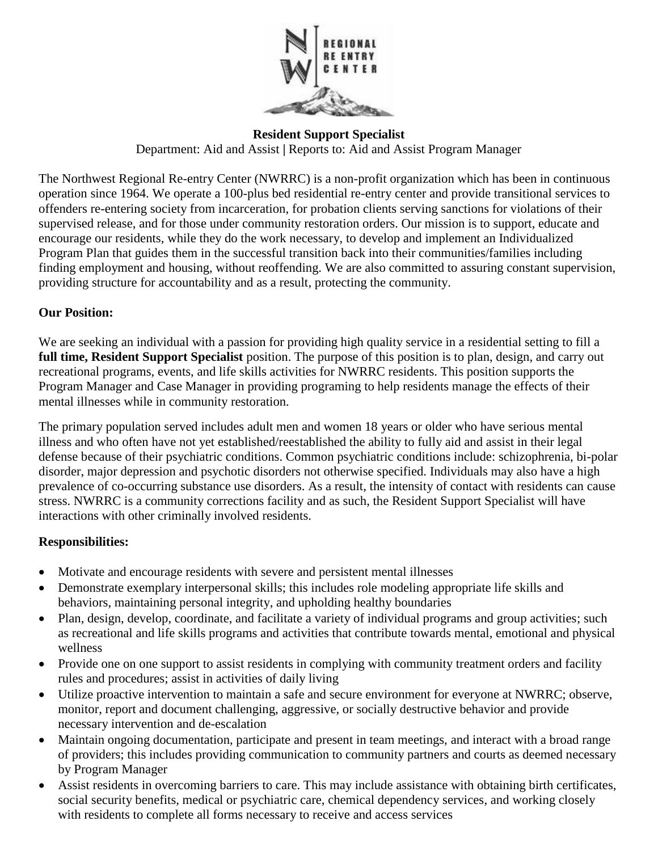

**Resident Support Specialist** Department: Aid and Assist **|** Reports to: Aid and Assist Program Manager

The Northwest Regional Re-entry Center (NWRRC) is a non-profit organization which has been in continuous operation since 1964. We operate a 100-plus bed residential re-entry center and provide transitional services to offenders re-entering society from incarceration, for probation clients serving sanctions for violations of their supervised release, and for those under community restoration orders. Our mission is to support, educate and encourage our residents, while they do the work necessary, to develop and implement an Individualized Program Plan that guides them in the successful transition back into their communities/families including finding employment and housing, without reoffending. We are also committed to assuring constant supervision, providing structure for accountability and as a result, protecting the community.

### **Our Position:**

We are seeking an individual with a passion for providing high quality service in a residential setting to fill a **full time, Resident Support Specialist** position. The purpose of this position is to plan, design, and carry out recreational programs, events, and life skills activities for NWRRC residents. This position supports the Program Manager and Case Manager in providing programing to help residents manage the effects of their mental illnesses while in community restoration.

The primary population served includes adult men and women 18 years or older who have serious mental illness and who often have not yet established/reestablished the ability to fully aid and assist in their legal defense because of their psychiatric conditions. Common psychiatric conditions include: schizophrenia, bi-polar disorder, major depression and psychotic disorders not otherwise specified. Individuals may also have a high prevalence of co-occurring substance use disorders. As a result, the intensity of contact with residents can cause stress. NWRRC is a community corrections facility and as such, the Resident Support Specialist will have interactions with other criminally involved residents.

### **Responsibilities:**

- Motivate and encourage residents with severe and persistent mental illnesses
- Demonstrate exemplary interpersonal skills; this includes role modeling appropriate life skills and behaviors, maintaining personal integrity, and upholding healthy boundaries
- Plan, design, develop, coordinate, and facilitate a variety of individual programs and group activities; such as recreational and life skills programs and activities that contribute towards mental, emotional and physical wellness
- Provide one on one support to assist residents in complying with community treatment orders and facility rules and procedures; assist in activities of daily living
- Utilize proactive intervention to maintain a safe and secure environment for everyone at NWRRC; observe, monitor, report and document challenging, aggressive, or socially destructive behavior and provide necessary intervention and de-escalation
- Maintain ongoing documentation, participate and present in team meetings, and interact with a broad range of providers; this includes providing communication to community partners and courts as deemed necessary by Program Manager
- Assist residents in overcoming barriers to care. This may include assistance with obtaining birth certificates, social security benefits, medical or psychiatric care, chemical dependency services, and working closely with residents to complete all forms necessary to receive and access services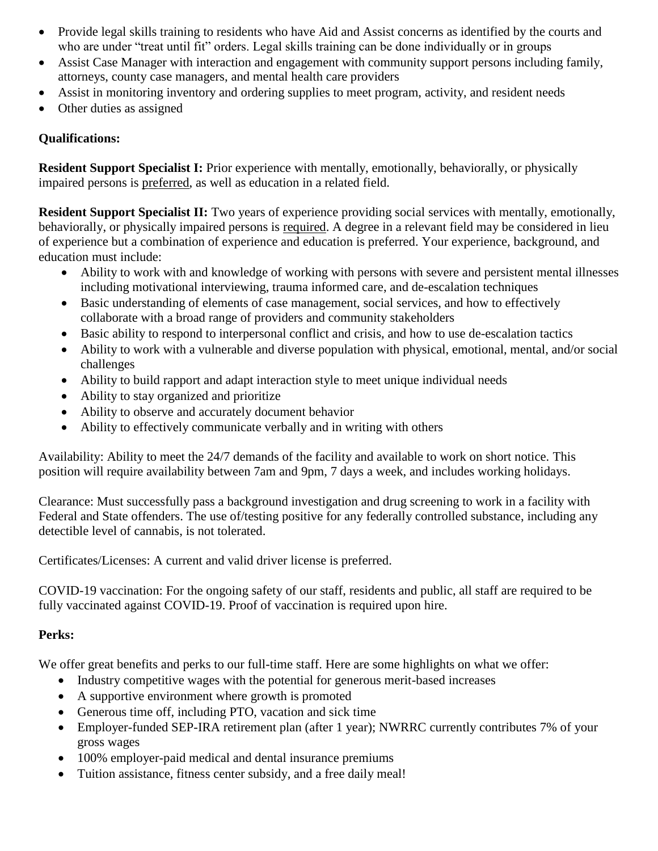- Provide legal skills training to residents who have Aid and Assist concerns as identified by the courts and who are under "treat until fit" orders. Legal skills training can be done individually or in groups
- Assist Case Manager with interaction and engagement with community support persons including family, attorneys, county case managers, and mental health care providers
- Assist in monitoring inventory and ordering supplies to meet program, activity, and resident needs
- Other duties as assigned

### **Qualifications:**

**Resident Support Specialist I:** Prior experience with mentally, emotionally, behaviorally, or physically impaired persons is preferred, as well as education in a related field.

**Resident Support Specialist II:** Two years of experience providing social services with mentally, emotionally, behaviorally, or physically impaired persons is required. A degree in a relevant field may be considered in lieu of experience but a combination of experience and education is preferred. Your experience, background, and education must include:

- Ability to work with and knowledge of working with persons with severe and persistent mental illnesses including motivational interviewing, trauma informed care, and de-escalation techniques
- Basic understanding of elements of case management, social services, and how to effectively collaborate with a broad range of providers and community stakeholders
- Basic ability to respond to interpersonal conflict and crisis, and how to use de-escalation tactics
- Ability to work with a vulnerable and diverse population with physical, emotional, mental, and/or social challenges
- Ability to build rapport and adapt interaction style to meet unique individual needs
- Ability to stay organized and prioritize
- Ability to observe and accurately document behavior
- Ability to effectively communicate verbally and in writing with others

Availability: Ability to meet the 24/7 demands of the facility and available to work on short notice. This position will require availability between 7am and 9pm, 7 days a week, and includes working holidays.

Clearance: Must successfully pass a background investigation and drug screening to work in a facility with Federal and State offenders. The use of/testing positive for any federally controlled substance, including any detectible level of cannabis, is not tolerated.

Certificates/Licenses: A current and valid driver license is preferred.

COVID-19 vaccination: For the ongoing safety of our staff, residents and public, all staff are required to be fully vaccinated against COVID-19. Proof of vaccination is required upon hire.

## **Perks:**

We offer great benefits and perks to our full-time staff. Here are some highlights on what we offer:

- Industry competitive wages with the potential for generous merit-based increases
- A supportive environment where growth is promoted
- Generous time off, including PTO, vacation and sick time
- Employer-funded SEP-IRA retirement plan (after 1 year); NWRRC currently contributes 7% of your gross wages
- 100% employer-paid medical and dental insurance premiums
- Tuition assistance, fitness center subsidy, and a free daily meal!